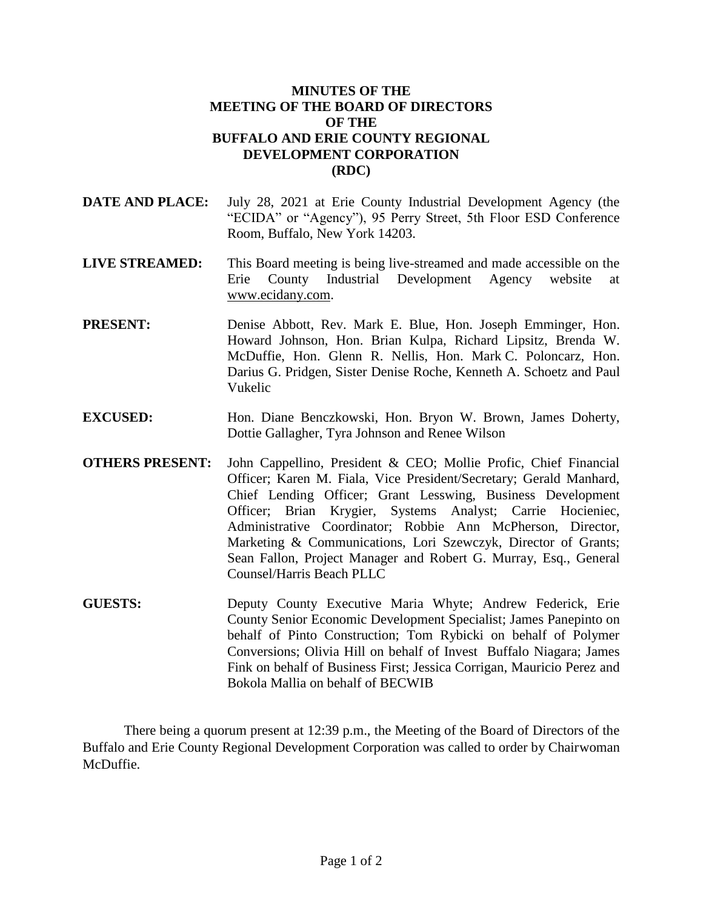## **MINUTES OF THE MEETING OF THE BOARD OF DIRECTORS OF THE BUFFALO AND ERIE COUNTY REGIONAL DEVELOPMENT CORPORATION (RDC)**

- **DATE AND PLACE:** July 28, 2021 at Erie County Industrial Development Agency (the "ECIDA" or "Agency"), 95 Perry Street, 5th Floor ESD Conference Room, Buffalo, New York 14203.
- **LIVE STREAMED:** This Board meeting is being live-streamed and made accessible on the Erie County Industrial Development Agency website at www.ecidany.com.
- **PRESENT:** Denise Abbott, Rev. Mark E. Blue, Hon. Joseph Emminger, Hon. Howard Johnson, Hon. Brian Kulpa, Richard Lipsitz, Brenda W. McDuffie, Hon. Glenn R. Nellis, Hon. Mark C. Poloncarz, Hon. Darius G. Pridgen, Sister Denise Roche, Kenneth A. Schoetz and Paul Vukelic
- **EXCUSED:** Hon. Diane Benczkowski, Hon. Bryon W. Brown, James Doherty, Dottie Gallagher, Tyra Johnson and Renee Wilson
- **OTHERS PRESENT:** John Cappellino, President & CEO; Mollie Profic, Chief Financial Officer; Karen M. Fiala, Vice President/Secretary; Gerald Manhard, Chief Lending Officer; Grant Lesswing, Business Development Officer; Brian Krygier, Systems Analyst; Carrie Hocieniec, Administrative Coordinator; Robbie Ann McPherson, Director, Marketing & Communications, Lori Szewczyk, Director of Grants; Sean Fallon, Project Manager and Robert G. Murray, Esq., General Counsel/Harris Beach PLLC
- **GUESTS:** Deputy County Executive Maria Whyte; Andrew Federick, Erie County Senior Economic Development Specialist; James Panepinto on behalf of Pinto Construction; Tom Rybicki on behalf of Polymer Conversions; Olivia Hill on behalf of Invest Buffalo Niagara; James Fink on behalf of Business First; Jessica Corrigan, Mauricio Perez and Bokola Mallia on behalf of BECWIB

There being a quorum present at 12:39 p.m., the Meeting of the Board of Directors of the Buffalo and Erie County Regional Development Corporation was called to order by Chairwoman McDuffie.